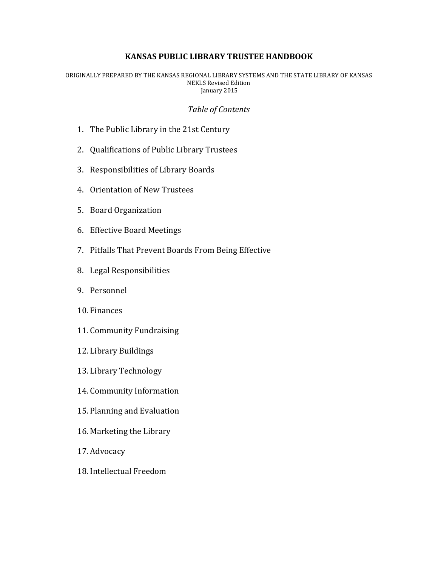### **KANSAS PUBLIC LIBRARY TRUSTEE HANDBOOK**

ORIGINALLY PREPARED BY THE KANSAS REGIONAL LIBRARY SYSTEMS AND THE STATE LIBRARY OF KANSAS **NEKLS** Revised Edition January 2015

#### *Table of Contents*

- 1. The Public Library in the 21st Century
- 2. Qualifications of Public Library Trustees
- 3. Responsibilities of Library Boards
- 4. Orientation of New Trustees
- 5. Board Organization
- 6. Effective Board Meetings
- 7. Pitfalls That Prevent Boards From Being Effective
- 8. Legal Responsibilities
- 9. Personnel
- 10. Finances
- 11. Community Fundraising
- 12. Library Buildings
- 13. Library Technology
- 14. Community Information
- 15. Planning and Evaluation
- 16. Marketing the Library
- 17. Advocacy
- 18. Intellectual Freedom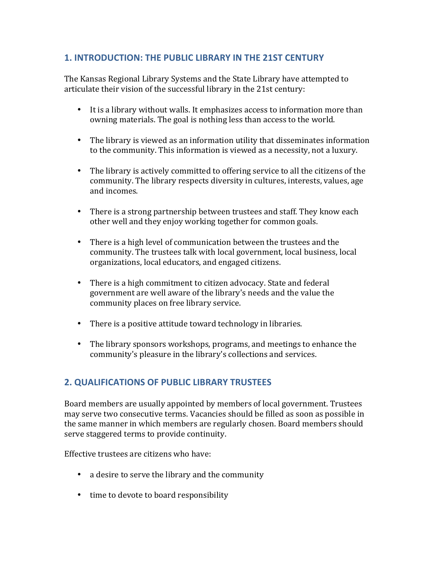## **1. INTRODUCTION: THE PUBLIC LIBRARY IN THE 21ST CENTURY**

The Kansas Regional Library Systems and the State Library have attempted to articulate their vision of the successful library in the 21st century:

- It is a library without walls. It emphasizes access to information more than owning materials. The goal is nothing less than access to the world.
- The library is viewed as an information utility that disseminates information to the community. This information is viewed as a necessity, not a luxury.
- The library is actively committed to offering service to all the citizens of the community. The library respects diversity in cultures, interests, values, age and incomes.
- There is a strong partnership between trustees and staff. They know each other well and they enjoy working together for common goals.
- There is a high level of communication between the trustees and the community. The trustees talk with local government, local business, local organizations, local educators, and engaged citizens.
- There is a high commitment to citizen advocacy. State and federal government are well aware of the library's needs and the value the community places on free library service.
- There is a positive attitude toward technology in libraries.
- The library sponsors workshops, programs, and meetings to enhance the community's pleasure in the library's collections and services.

# **2. QUALIFICATIONS OF PUBLIC LIBRARY TRUSTEES**

Board members are usually appointed by members of local government. Trustees may serve two consecutive terms. Vacancies should be filled as soon as possible in the same manner in which members are regularly chosen. Board members should serve staggered terms to provide continuity.

Effective trustees are citizens who have:

- a desire to serve the library and the community
- time to devote to board responsibility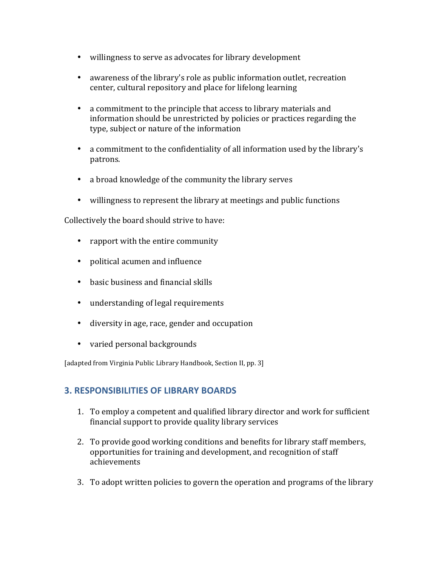- willingness to serve as advocates for library development
- awareness of the library's role as public information outlet, recreation center, cultural repository and place for lifelong learning
- a commitment to the principle that access to library materials and information should be unrestricted by policies or practices regarding the type, subject or nature of the information
- a commitment to the confidentiality of all information used by the library's patrons.
- a broad knowledge of the community the library serves
- willingness to represent the library at meetings and public functions

Collectively the board should strive to have:

- rapport with the entire community
- political acumen and influence
- basic business and financial skills
- understanding of legal requirements
- diversity in age, race, gender and occupation
- varied personal backgrounds

[adapted from Virginia Public Library Handbook, Section II, pp. 3]

# **3. RESPONSIBILITIES OF LIBRARY BOARDS**

- 1. To employ a competent and qualified library director and work for sufficient financial support to provide quality library services
- 2. To provide good working conditions and benefits for library staff members, opportunities for training and development, and recognition of staff achievements
- 3. To adopt written policies to govern the operation and programs of the library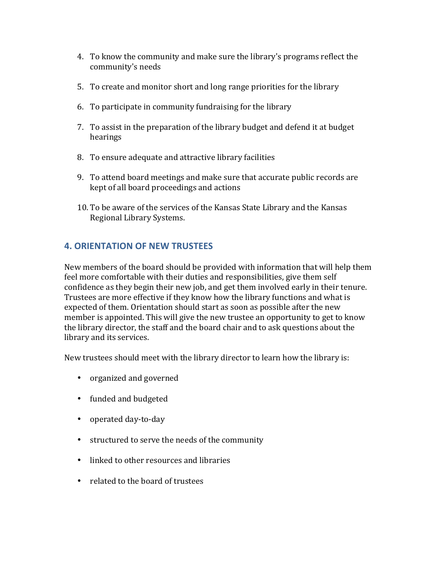- 4. To know the community and make sure the library's programs reflect the community's needs
- 5. To create and monitor short and long range priorities for the library
- 6. To participate in community fundraising for the library
- 7. To assist in the preparation of the library budget and defend it at budget hearings
- 8. To ensure adequate and attractive library facilities
- 9. To attend board meetings and make sure that accurate public records are kept of all board proceedings and actions
- 10. To be aware of the services of the Kansas State Library and the Kansas Regional Library Systems.

# **4. ORIENTATION OF NEW TRUSTEES**

New members of the board should be provided with information that will help them feel more comfortable with their duties and responsibilities, give them self confidence as they begin their new job, and get them involved early in their tenure. Trustees are more effective if they know how the library functions and what is expected of them. Orientation should start as soon as possible after the new member is appointed. This will give the new trustee an opportunity to get to know the library director, the staff and the board chair and to ask questions about the library and its services.

New trustees should meet with the library director to learn how the library is:

- organized and governed
- funded and budgeted
- operated day-to-day
- structured to serve the needs of the community
- linked to other resources and libraries
- related to the board of trustees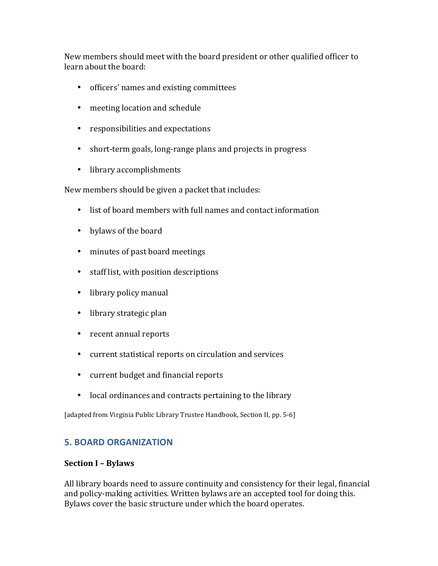New members should meet with the board president or other qualified officer to learn about the board:

- officers' names and existing committees
- meeting location and schedule
- responsibilities and expectations
- short-term goals, long-range plans and projects in progress
- library accomplishments

New members should be given a packet that includes:

- list of board members with full names and contact information
- bylaws of the board
- minutes of past board meetings
- staff list, with position descriptions
- library policy manual
- library strategic plan
- recent annual reports
- current statistical reports on circulation and services
- current budget and financial reports
- local ordinances and contracts pertaining to the library

[adapted from Virginia Public Library Trustee Handbook, Section II, pp. 5-6]

## **5. BOARD ORGANIZATION**

#### **Section I – Bylaws**

All library boards need to assure continuity and consistency for their legal, financial and policy-making activities. Written bylaws are an accepted tool for doing this. Bylaws cover the basic structure under which the board operates.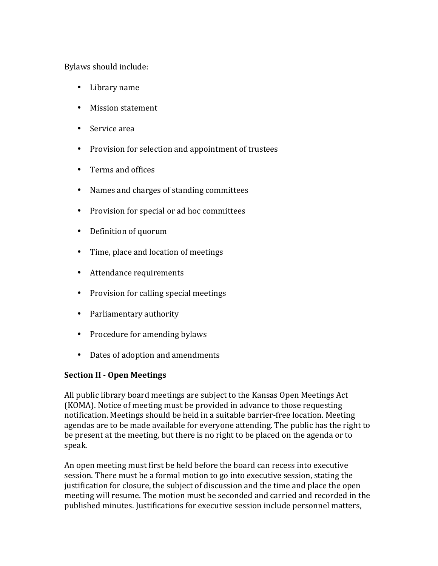Bylaws should include:

- Library name
- Mission statement
- Service area
- Provision for selection and appointment of trustees
- Terms and offices
- Names and charges of standing committees
- Provision for special or ad hoc committees
- Definition of quorum
- Time, place and location of meetings
- Attendance requirements
- Provision for calling special meetings
- Parliamentary authority
- Procedure for amending bylaws
- Dates of adoption and amendments

## **Section II - Open Meetings**

All public library board meetings are subject to the Kansas Open Meetings Act (KOMA). Notice of meeting must be provided in advance to those requesting notification. Meetings should be held in a suitable barrier-free location. Meeting agendas are to be made available for everyone attending. The public has the right to be present at the meeting, but there is no right to be placed on the agenda or to speak.

An open meeting must first be held before the board can recess into executive session. There must be a formal motion to go into executive session, stating the justification for closure, the subject of discussion and the time and place the open meeting will resume. The motion must be seconded and carried and recorded in the published minutes. Justifications for executive session include personnel matters,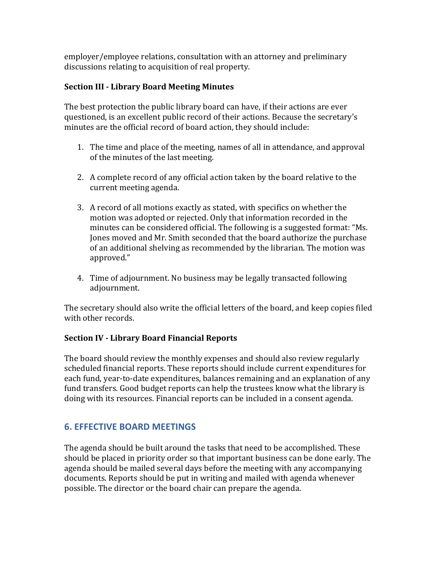employer/employee relations, consultation with an attorney and preliminary discussions relating to acquisition of real property.

## **Section III - Library Board Meeting Minutes**

The best protection the public library board can have, if their actions are ever questioned, is an excellent public record of their actions. Because the secretary's minutes are the official record of board action, they should include:

- 1. The time and place of the meeting, names of all in attendance, and approval of the minutes of the last meeting.
- 2. A complete record of any official action taken by the board relative to the current meeting agenda.
- 3. A record of all motions exactly as stated, with specifics on whether the motion was adopted or rejected. Only that information recorded in the minutes can be considered official. The following is a suggested format: "Ms. Jones moved and Mr. Smith seconded that the board authorize the purchase of an additional shelving as recommended by the librarian. The motion was approved."
- 4. Time of adjournment. No business may be legally transacted following adjournment.

The secretary should also write the official letters of the board, and keep copies filed with other records.

## **Section IV - Library Board Financial Reports**

The board should review the monthly expenses and should also review regularly scheduled financial reports. These reports should include current expenditures for each fund, year-to-date expenditures, balances remaining and an explanation of any fund transfers. Good budget reports can help the trustees know what the library is doing with its resources. Financial reports can be included in a consent agenda.

# **6. EFFECTIVE BOARD MEETINGS**

The agenda should be built around the tasks that need to be accomplished. These should be placed in priority order so that important business can be done early. The agenda should be mailed several days before the meeting with any accompanying documents. Reports should be put in writing and mailed with agenda whenever possible. The director or the board chair can prepare the agenda.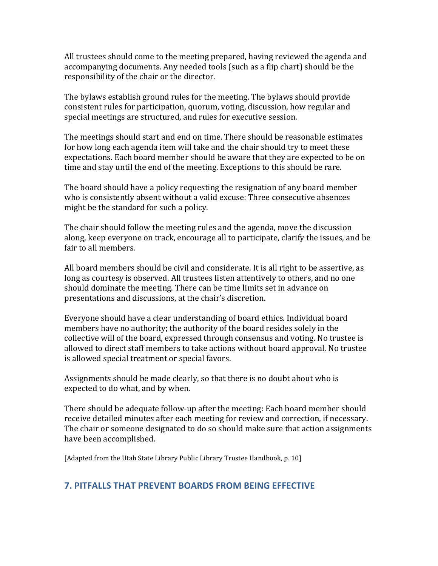All trustees should come to the meeting prepared, having reviewed the agenda and accompanying documents. Any needed tools (such as a flip chart) should be the responsibility of the chair or the director.

The bylaws establish ground rules for the meeting. The bylaws should provide consistent rules for participation, quorum, voting, discussion, how regular and special meetings are structured, and rules for executive session.

The meetings should start and end on time. There should be reasonable estimates for how long each agenda item will take and the chair should try to meet these expectations. Each board member should be aware that they are expected to be on time and stay until the end of the meeting. Exceptions to this should be rare.

The board should have a policy requesting the resignation of any board member who is consistently absent without a valid excuse: Three consecutive absences might be the standard for such a policy.

The chair should follow the meeting rules and the agenda, move the discussion along, keep everyone on track, encourage all to participate, clarify the issues, and be fair to all members.

All board members should be civil and considerate. It is all right to be assertive, as long as courtesy is observed. All trustees listen attentively to others, and no one should dominate the meeting. There can be time limits set in advance on presentations and discussions, at the chair's discretion.

Everyone should have a clear understanding of board ethics. Individual board members have no authority; the authority of the board resides solely in the collective will of the board, expressed through consensus and voting. No trustee is allowed to direct staff members to take actions without board approval. No trustee is allowed special treatment or special favors.

Assignments should be made clearly, so that there is no doubt about who is expected to do what, and by when.

There should be adequate follow-up after the meeting: Each board member should receive detailed minutes after each meeting for review and correction, if necessary. The chair or someone designated to do so should make sure that action assignments have been accomplished.

[Adapted from the Utah State Library Public Library Trustee Handbook, p. 10]

# **7. PITFALLS THAT PREVENT BOARDS FROM BEING EFFECTIVE**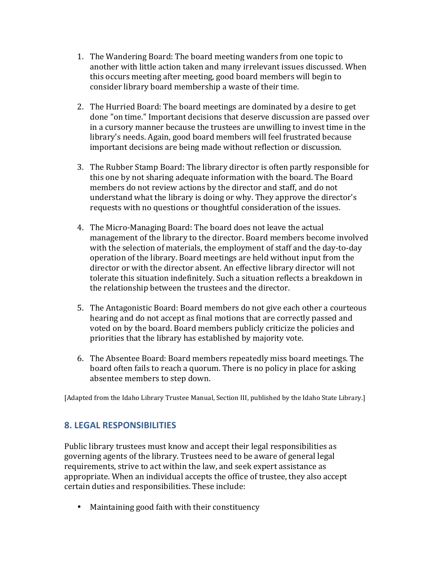- 1. The Wandering Board: The board meeting wanders from one topic to another with little action taken and many irrelevant issues discussed. When this occurs meeting after meeting, good board members will begin to consider library board membership a waste of their time.
- 2. The Hurried Board: The board meetings are dominated by a desire to get done "on time." Important decisions that deserve discussion are passed over in a cursory manner because the trustees are unwilling to invest time in the library's needs. Again, good board members will feel frustrated because important decisions are being made without reflection or discussion.
- 3. The Rubber Stamp Board: The library director is often partly responsible for this one by not sharing adequate information with the board. The Board members do not review actions by the director and staff, and do not understand what the library is doing or why. They approve the director's requests with no questions or thoughtful consideration of the issues.
- 4. The Micro-Managing Board: The board does not leave the actual management of the library to the director. Board members become involved with the selection of materials, the employment of staff and the day-to-day operation of the library. Board meetings are held without input from the director or with the director absent. An effective library director will not tolerate this situation indefinitely. Such a situation reflects a breakdown in the relationship between the trustees and the director.
- 5. The Antagonistic Board: Board members do not give each other a courteous hearing and do not accept as final motions that are correctly passed and voted on by the board. Board members publicly criticize the policies and priorities that the library has established by majority vote.
- 6. The Absentee Board: Board members repeatedly miss board meetings. The board often fails to reach a quorum. There is no policy in place for asking absentee members to step down.

[Adapted from the Idaho Library Trustee Manual, Section III, published by the Idaho State Library.]

## **8. LEGAL RESPONSIBILITIES**

Public library trustees must know and accept their legal responsibilities as governing agents of the library. Trustees need to be aware of general legal requirements, strive to act within the law, and seek expert assistance as appropriate. When an individual accepts the office of trustee, they also accept certain duties and responsibilities. These include:

• Maintaining good faith with their constituency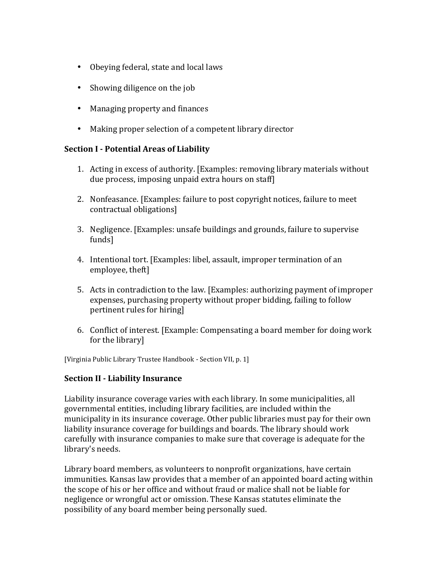- Obeying federal, state and local laws
- Showing diligence on the job
- Managing property and finances
- Making proper selection of a competent library director

#### **Section I - Potential Areas of Liability**

- 1. Acting in excess of authority. [Examples: removing library materials without due process, imposing unpaid extra hours on staff
- 2. Nonfeasance. [Examples: failure to post copyright notices, failure to meet contractual obligations]
- 3. Negligence. [Examples: unsafe buildings and grounds, failure to supervise funds]
- 4. Intentional tort. [Examples: libel, assault, improper termination of an employee, theft]
- 5. Acts in contradiction to the law. [Examples: authorizing payment of improper expenses, purchasing property without proper bidding, failing to follow pertinent rules for hiring]
- 6. Conflict of interest. [Example: Compensating a board member for doing work for the library]

[Virginia Public Library Trustee Handbook - Section VII, p. 1]

#### **Section II - Liability Insurance**

Liability insurance coverage varies with each library. In some municipalities, all governmental entities, including library facilities, are included within the municipality in its insurance coverage. Other public libraries must pay for their own liability insurance coverage for buildings and boards. The library should work carefully with insurance companies to make sure that coverage is adequate for the library's needs.

Library board members, as volunteers to nonprofit organizations, have certain immunities. Kansas law provides that a member of an appointed board acting within the scope of his or her office and without fraud or malice shall not be liable for negligence or wrongful act or omission. These Kansas statutes eliminate the possibility of any board member being personally sued.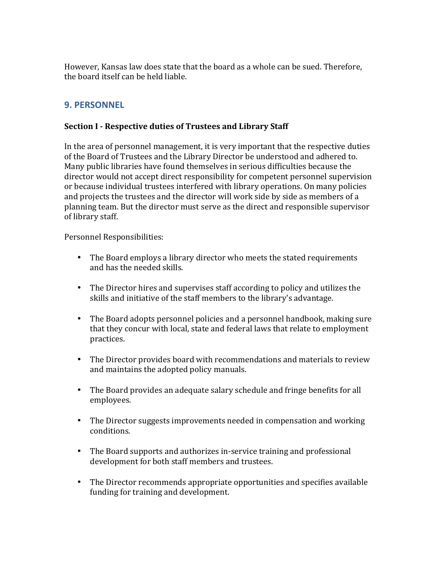However, Kansas law does state that the board as a whole can be sued. Therefore, the board itself can be held liable.

# **9. PERSONNEL**

#### **Section I - Respective duties of Trustees and Library Staff**

In the area of personnel management, it is very important that the respective duties of the Board of Trustees and the Library Director be understood and adhered to. Many public libraries have found themselves in serious difficulties because the director would not accept direct responsibility for competent personnel supervision or because individual trustees interfered with library operations. On many policies and projects the trustees and the director will work side by side as members of a planning team. But the director must serve as the direct and responsible supervisor of library staff.

Personnel Responsibilities:

- The Board employs a library director who meets the stated requirements and has the needed skills.
- The Director hires and supervises staff according to policy and utilizes the skills and initiative of the staff members to the library's advantage.
- The Board adopts personnel policies and a personnel handbook, making sure that they concur with local, state and federal laws that relate to employment practices.
- The Director provides board with recommendations and materials to review and maintains the adopted policy manuals.
- The Board provides an adequate salary schedule and fringe benefits for all employees.
- The Director suggests improvements needed in compensation and working conditions.
- The Board supports and authorizes in-service training and professional development for both staff members and trustees.
- The Director recommends appropriate opportunities and specifies available funding for training and development.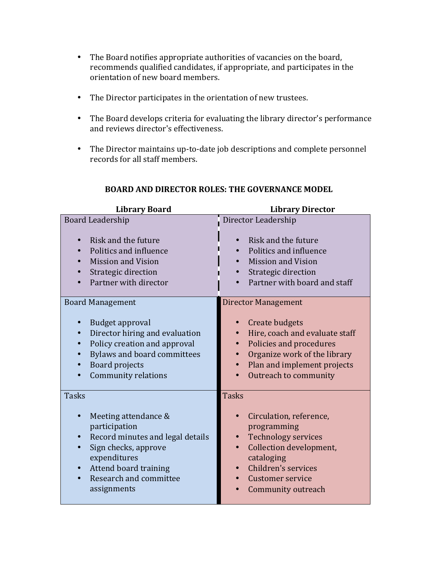- The Board notifies appropriate authorities of vacancies on the board, recommends qualified candidates, if appropriate, and participates in the orientation of new board members.
- The Director participates in the orientation of new trustees.
- The Board develops criteria for evaluating the library director's performance and reviews director's effectiveness.
- The Director maintains up-to-date job descriptions and complete personnel records for all staff members.

| <b>Library Board</b>             | <b>Library Director</b>        |
|----------------------------------|--------------------------------|
| <b>Board Leadership</b>          | Director Leadership            |
| Risk and the future              | Risk and the future            |
| Politics and influence           | Politics and influence         |
| <b>Mission and Vision</b>        | <b>Mission and Vision</b>      |
| Strategic direction              | Strategic direction            |
| Partner with director            | Partner with board and staff   |
| <b>Board Management</b>          | <b>Director Management</b>     |
| Budget approval                  | Create budgets                 |
| Director hiring and evaluation   | Hire, coach and evaluate staff |
| Policy creation and approval     | Policies and procedures        |
| Bylaws and board committees      | Organize work of the library   |
| <b>Board projects</b>            | Plan and implement projects    |
| <b>Community relations</b>       | Outreach to community          |
| <b>Tasks</b>                     | <b>Tasks</b>                   |
| Meeting attendance &             | Circulation, reference,        |
| participation                    | programming                    |
| Record minutes and legal details | <b>Technology services</b>     |
| Sign checks, approve             | Collection development,        |
| expenditures                     | cataloging                     |
| Attend board training            | Children's services            |
| Research and committee           | <b>Customer service</b>        |
| assignments                      | Community outreach             |

### **BOARD AND DIRECTOR ROLES: THE GOVERNANCE MODEL**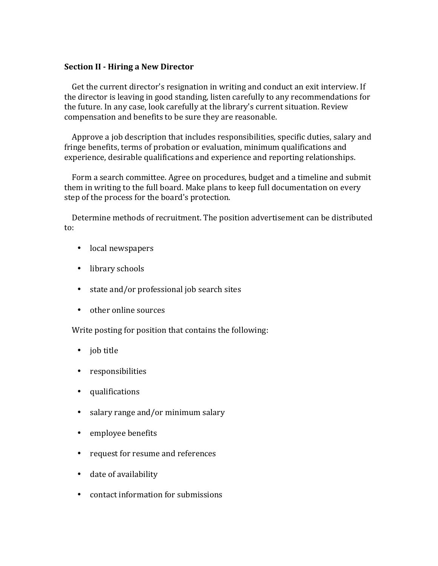#### **Section II - Hiring a New Director**

Get the current director's resignation in writing and conduct an exit interview. If the director is leaving in good standing, listen carefully to any recommendations for the future. In any case, look carefully at the library's current situation. Review compensation and benefits to be sure they are reasonable.

Approve a job description that includes responsibilities, specific duties, salary and fringe benefits, terms of probation or evaluation, minimum qualifications and experience, desirable qualifications and experience and reporting relationships.

Form a search committee. Agree on procedures, budget and a timeline and submit them in writing to the full board. Make plans to keep full documentation on every step of the process for the board's protection.

Determine methods of recruitment. The position advertisement can be distributed to:

- local newspapers
- library schools
- state and/or professional job search sites
- other online sources

Write posting for position that contains the following:

- job title
- responsibilities
- qualifications
- salary range and/or minimum salary
- employee benefits
- request for resume and references
- date of availability
- contact information for submissions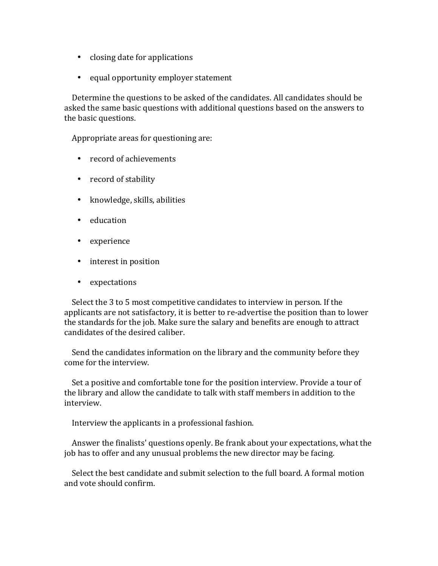- closing date for applications
- equal opportunity employer statement

Determine the questions to be asked of the candidates. All candidates should be asked the same basic questions with additional questions based on the answers to the basic questions.

Appropriate areas for questioning are:

- record of achievements
- record of stability
- knowledge, skills, abilities
- education
- experience
- interest in position
- expectations

Select the 3 to 5 most competitive candidates to interview in person. If the applicants are not satisfactory, it is better to re-advertise the position than to lower the standards for the job. Make sure the salary and benefits are enough to attract candidates of the desired caliber.

Send the candidates information on the library and the community before they come for the interview.

Set a positive and comfortable tone for the position interview. Provide a tour of the library and allow the candidate to talk with staff members in addition to the interview.

Interview the applicants in a professional fashion.

Answer the finalists' questions openly. Be frank about your expectations, what the job has to offer and any unusual problems the new director may be facing.

Select the best candidate and submit selection to the full board. A formal motion and vote should confirm.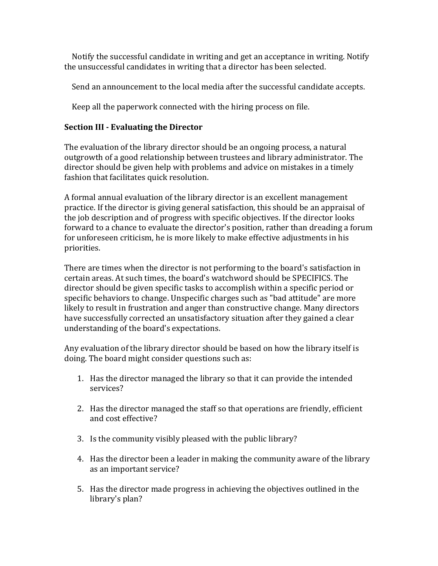Notify the successful candidate in writing and get an acceptance in writing. Notify the unsuccessful candidates in writing that a director has been selected.

Send an announcement to the local media after the successful candidate accepts.

Keep all the paperwork connected with the hiring process on file.

### **Section III - Evaluating the Director**

The evaluation of the library director should be an ongoing process, a natural outgrowth of a good relationship between trustees and library administrator. The director should be given help with problems and advice on mistakes in a timely fashion that facilitates quick resolution.

A formal annual evaluation of the library director is an excellent management practice. If the director is giving general satisfaction, this should be an appraisal of the job description and of progress with specific objectives. If the director looks forward to a chance to evaluate the director's position, rather than dreading a forum for unforeseen criticism, he is more likely to make effective adjustments in his priorities.

There are times when the director is not performing to the board's satisfaction in certain areas. At such times, the board's watchword should be SPECIFICS. The director should be given specific tasks to accomplish within a specific period or specific behaviors to change. Unspecific charges such as "bad attitude" are more likely to result in frustration and anger than constructive change. Many directors have successfully corrected an unsatisfactory situation after they gained a clear understanding of the board's expectations.

Any evaluation of the library director should be based on how the library itself is doing. The board might consider questions such as:

- 1. Has the director managed the library so that it can provide the intended services?
- 2. Has the director managed the staff so that operations are friendly, efficient and cost effective?
- 3. Is the community visibly pleased with the public library?
- 4. Has the director been a leader in making the community aware of the library as an important service?
- 5. Has the director made progress in achieving the objectives outlined in the library's plan?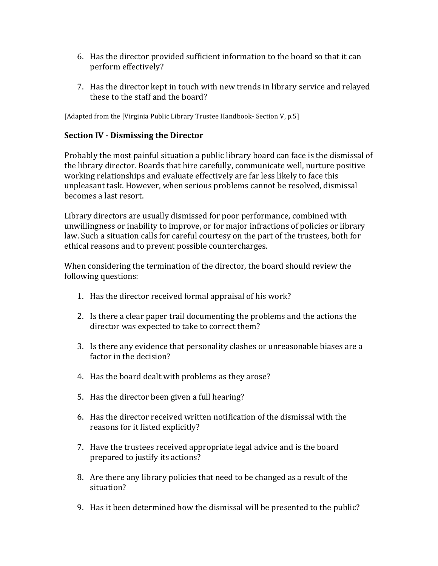- 6. Has the director provided sufficient information to the board so that it can perform effectively?
- 7. Has the director kept in touch with new trends in library service and relayed these to the staff and the board?

[Adapted from the [Virginia Public Library Trustee Handbook- Section V, p.5]

#### **Section IV - Dismissing the Director**

Probably the most painful situation a public library board can face is the dismissal of the library director. Boards that hire carefully, communicate well, nurture positive working relationships and evaluate effectively are far less likely to face this unpleasant task. However, when serious problems cannot be resolved, dismissal becomes a last resort.

Library directors are usually dismissed for poor performance, combined with unwillingness or inability to improve, or for major infractions of policies or library law. Such a situation calls for careful courtesy on the part of the trustees, both for ethical reasons and to prevent possible countercharges.

When considering the termination of the director, the board should review the following questions:

- 1. Has the director received formal appraisal of his work?
- 2. Is there a clear paper trail documenting the problems and the actions the director was expected to take to correct them?
- 3. Is there any evidence that personality clashes or unreasonable biases are a factor in the decision?
- 4. Has the board dealt with problems as they arose?
- 5. Has the director been given a full hearing?
- 6. Has the director received written notification of the dismissal with the reasons for it listed explicitly?
- 7. Have the trustees received appropriate legal advice and is the board prepared to justify its actions?
- 8. Are there any library policies that need to be changed as a result of the situation?
- 9. Has it been determined how the dismissal will be presented to the public?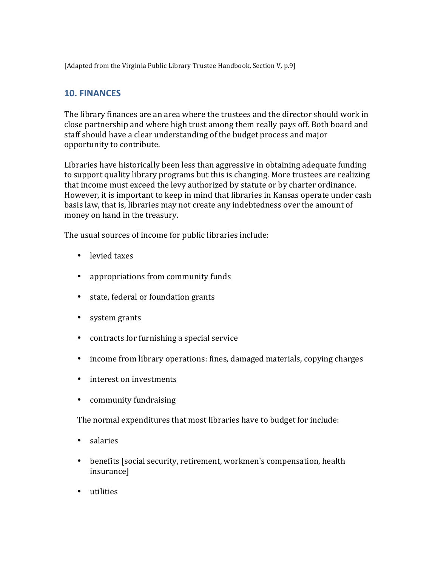[Adapted from the Virginia Public Library Trustee Handbook, Section V, p.9]

## **10. FINANCES**

The library finances are an area where the trustees and the director should work in close partnership and where high trust among them really pays off. Both board and staff should have a clear understanding of the budget process and major opportunity to contribute.

Libraries have historically been less than aggressive in obtaining adequate funding to support quality library programs but this is changing. More trustees are realizing that income must exceed the levy authorized by statute or by charter ordinance. However, it is important to keep in mind that libraries in Kansas operate under cash basis law, that is, libraries may not create any indebtedness over the amount of money on hand in the treasury.

The usual sources of income for public libraries include:

- levied taxes
- appropriations from community funds
- state, federal or foundation grants
- system grants
- contracts for furnishing a special service
- income from library operations: fines, damaged materials, copying charges
- interest on investments
- community fundraising

The normal expenditures that most libraries have to budget for include:

- salaries
- benefits [social security, retirement, workmen's compensation, health insurance]
- utilities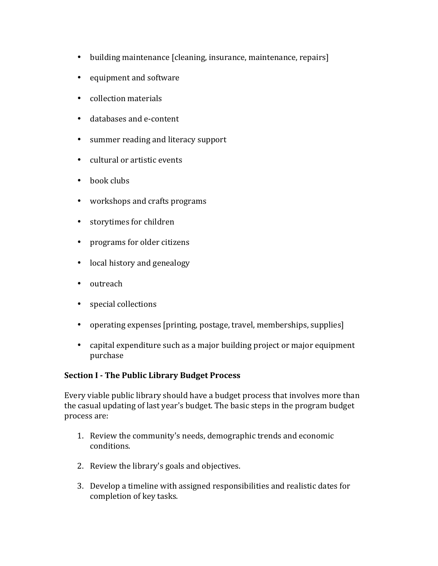- building maintenance [cleaning, insurance, maintenance, repairs]
- equipment and software
- collection materials
- databases and e-content
- summer reading and literacy support
- cultural or artistic events
- $\bullet$  book clubs
- workshops and crafts programs
- storytimes for children
- programs for older citizens
- local history and genealogy
- outreach
- special collections
- operating expenses [printing, postage, travel, memberships, supplies]
- capital expenditure such as a major building project or major equipment purchase

#### **Section I - The Public Library Budget Process**

Every viable public library should have a budget process that involves more than the casual updating of last year's budget. The basic steps in the program budget process are:

- 1. Review the community's needs, demographic trends and economic conditions.
- 2. Review the library's goals and objectives.
- 3. Develop a timeline with assigned responsibilities and realistic dates for completion of key tasks.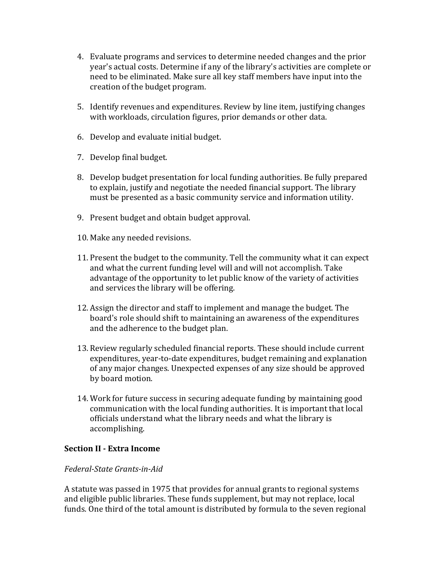- 4. Evaluate programs and services to determine needed changes and the prior year's actual costs. Determine if any of the library's activities are complete or need to be eliminated. Make sure all key staff members have input into the creation of the budget program.
- 5. Identify revenues and expenditures. Review by line item, justifying changes with workloads, circulation figures, prior demands or other data.
- 6. Develop and evaluate initial budget.
- 7. Develop final budget.
- 8. Develop budget presentation for local funding authorities. Be fully prepared to explain, justify and negotiate the needed financial support. The library must be presented as a basic community service and information utility.
- 9. Present budget and obtain budget approval.
- 10. Make any needed revisions.
- 11. Present the budget to the community. Tell the community what it can expect and what the current funding level will and will not accomplish. Take advantage of the opportunity to let public know of the variety of activities and services the library will be offering.
- 12. Assign the director and staff to implement and manage the budget. The board's role should shift to maintaining an awareness of the expenditures and the adherence to the budget plan.
- 13. Review regularly scheduled financial reports. These should include current expenditures, vear-to-date expenditures, budget remaining and explanation of any major changes. Unexpected expenses of any size should be approved by board motion.
- 14. Work for future success in securing adequate funding by maintaining good communication with the local funding authorities. It is important that local officials understand what the library needs and what the library is accomplishing.

#### **Section II - Extra Income**

#### *Federal-State Grants-in-Aid*

A statute was passed in 1975 that provides for annual grants to regional systems and eligible public libraries. These funds supplement, but may not replace, local funds. One third of the total amount is distributed by formula to the seven regional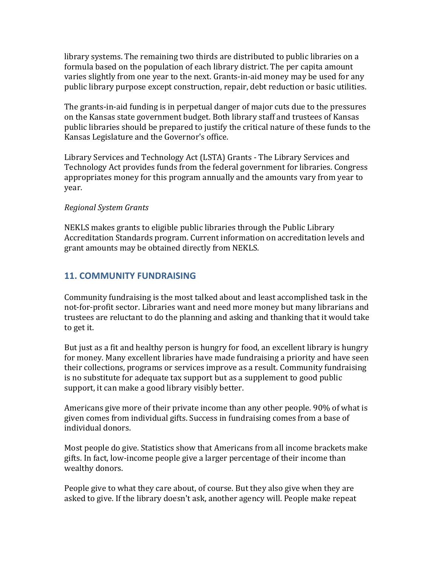library systems. The remaining two thirds are distributed to public libraries on a formula based on the population of each library district. The per capita amount varies slightly from one year to the next. Grants-in-aid money may be used for any public library purpose except construction, repair, debt reduction or basic utilities.

The grants-in-aid funding is in perpetual danger of major cuts due to the pressures on the Kansas state government budget. Both library staff and trustees of Kansas public libraries should be prepared to justify the critical nature of these funds to the Kansas Legislature and the Governor's office.

Library Services and Technology Act (LSTA) Grants - The Library Services and Technology Act provides funds from the federal government for libraries. Congress appropriates money for this program annually and the amounts vary from year to year. 

#### *Regional System Grants*

NEKLS makes grants to eligible public libraries through the Public Library Accreditation Standards program. Current information on accreditation levels and grant amounts may be obtained directly from NEKLS.

# **11. COMMUNITY FUNDRAISING**

Community fundraising is the most talked about and least accomplished task in the not-for-profit sector. Libraries want and need more money but many librarians and trustees are reluctant to do the planning and asking and thanking that it would take to get it.

But just as a fit and healthy person is hungry for food, an excellent library is hungry for money. Many excellent libraries have made fundraising a priority and have seen their collections, programs or services improve as a result. Community fundraising is no substitute for adequate tax support but as a supplement to good public support, it can make a good library visibly better.

Americans give more of their private income than any other people. 90% of what is given comes from individual gifts. Success in fundraising comes from a base of individual donors.

Most people do give. Statistics show that Americans from all income brackets make gifts. In fact, low-income people give a larger percentage of their income than wealthy donors.

People give to what they care about, of course. But they also give when they are asked to give. If the library doesn't ask, another agency will. People make repeat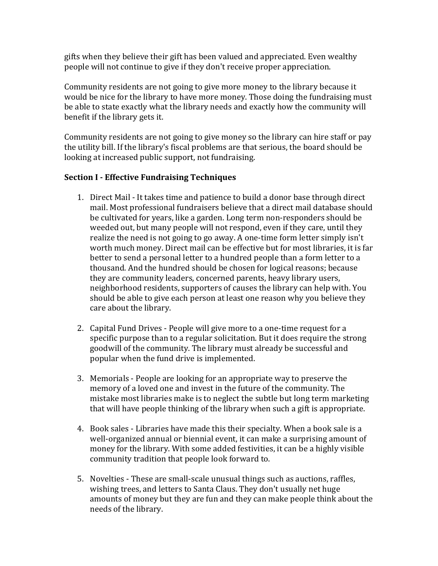gifts when they believe their gift has been valued and appreciated. Even wealthy people will not continue to give if they don't receive proper appreciation.

Community residents are not going to give more money to the library because it would be nice for the library to have more money. Those doing the fundraising must be able to state exactly what the library needs and exactly how the community will benefit if the library gets it.

Community residents are not going to give money so the library can hire staff or pay the utility bill. If the library's fiscal problems are that serious, the board should be looking at increased public support, not fundraising.

## **Section I - Effective Fundraising Techniques**

- 1. Direct Mail It takes time and patience to build a donor base through direct mail. Most professional fundraisers believe that a direct mail database should be cultivated for years, like a garden. Long term non-responders should be weeded out, but many people will not respond, even if they care, until they realize the need is not going to go away. A one-time form letter simply isn't worth much money. Direct mail can be effective but for most libraries, it is far better to send a personal letter to a hundred people than a form letter to a thousand. And the hundred should be chosen for logical reasons; because they are community leaders, concerned parents, heavy library users, neighborhood residents, supporters of causes the library can help with. You should be able to give each person at least one reason why you believe they care about the library.
- 2. Capital Fund Drives People will give more to a one-time request for a specific purpose than to a regular solicitation. But it does require the strong goodwill of the community. The library must already be successful and popular when the fund drive is implemented.
- 3. Memorials People are looking for an appropriate way to preserve the memory of a loved one and invest in the future of the community. The mistake most libraries make is to neglect the subtle but long term marketing that will have people thinking of the library when such a gift is appropriate.
- 4. Book sales Libraries have made this their specialty. When a book sale is a well-organized annual or biennial event, it can make a surprising amount of money for the library. With some added festivities, it can be a highly visible community tradition that people look forward to.
- 5. Novelties These are small-scale unusual things such as auctions, raffles, wishing trees, and letters to Santa Claus. They don't usually net huge amounts of money but they are fun and they can make people think about the needs of the library.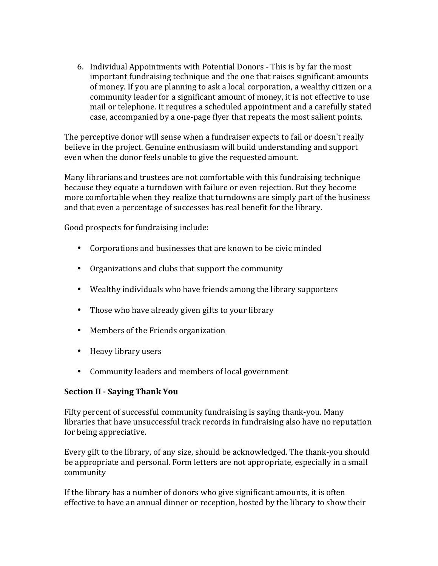6. Individual Appointments with Potential Donors - This is by far the most important fundraising technique and the one that raises significant amounts of money. If you are planning to ask a local corporation, a wealthy citizen or a community leader for a significant amount of money, it is not effective to use mail or telephone. It requires a scheduled appointment and a carefully stated case, accompanied by a one-page flyer that repeats the most salient points.

The perceptive donor will sense when a fundraiser expects to fail or doesn't really believe in the project. Genuine enthusiasm will build understanding and support even when the donor feels unable to give the requested amount.

Many librarians and trustees are not comfortable with this fundraising technique because they equate a turndown with failure or even rejection. But they become more comfortable when they realize that turndowns are simply part of the business and that even a percentage of successes has real benefit for the library.

Good prospects for fundraising include:

- Corporations and businesses that are known to be civic minded
- Organizations and clubs that support the community
- Wealthy individuals who have friends among the library supporters
- Those who have already given gifts to your library
- Members of the Friends organization
- Heavy library users
- Community leaders and members of local government

## **Section II - Saying Thank You**

Fifty percent of successful community fundraising is saying thank-you. Many libraries that have unsuccessful track records in fundraising also have no reputation for being appreciative.

Every gift to the library, of any size, should be acknowledged. The thank-you should be appropriate and personal. Form letters are not appropriate, especially in a small community

If the library has a number of donors who give significant amounts, it is often effective to have an annual dinner or reception, hosted by the library to show their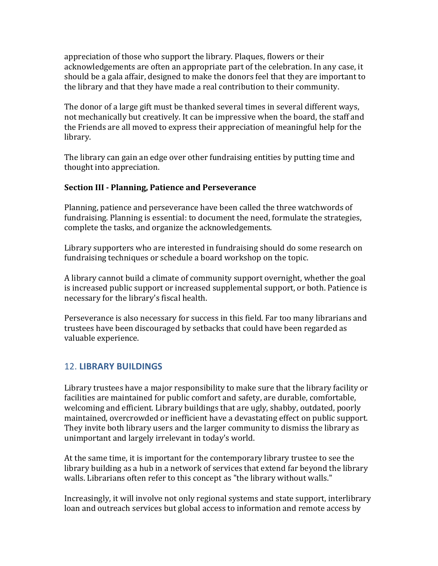appreciation of those who support the library. Plaques, flowers or their acknowledgements are often an appropriate part of the celebration. In any case, it should be a gala affair, designed to make the donors feel that they are important to the library and that they have made a real contribution to their community.

The donor of a large gift must be thanked several times in several different ways, not mechanically but creatively. It can be impressive when the board, the staff and the Friends are all moved to express their appreciation of meaningful help for the library.

The library can gain an edge over other fundraising entities by putting time and thought into appreciation.

### **Section III - Planning, Patience and Perseverance**

Planning, patience and perseverance have been called the three watchwords of fundraising. Planning is essential: to document the need, formulate the strategies, complete the tasks, and organize the acknowledgements.

Library supporters who are interested in fundraising should do some research on fundraising techniques or schedule a board workshop on the topic.

A library cannot build a climate of community support overnight, whether the goal is increased public support or increased supplemental support, or both. Patience is necessary for the library's fiscal health.

Perseverance is also necessary for success in this field. Far too many librarians and trustees have been discouraged by setbacks that could have been regarded as valuable experience.

# 12. **LIBRARY BUILDINGS**

Library trustees have a major responsibility to make sure that the library facility or facilities are maintained for public comfort and safety, are durable, comfortable, welcoming and efficient. Library buildings that are ugly, shabby, outdated, poorly maintained, overcrowded or inefficient have a devastating effect on public support. They invite both library users and the larger community to dismiss the library as unimportant and largely irrelevant in today's world.

At the same time, it is important for the contemporary library trustee to see the library building as a hub in a network of services that extend far beyond the library walls. Librarians often refer to this concept as "the library without walls."

Increasingly, it will involve not only regional systems and state support, interlibrary loan and outreach services but global access to information and remote access by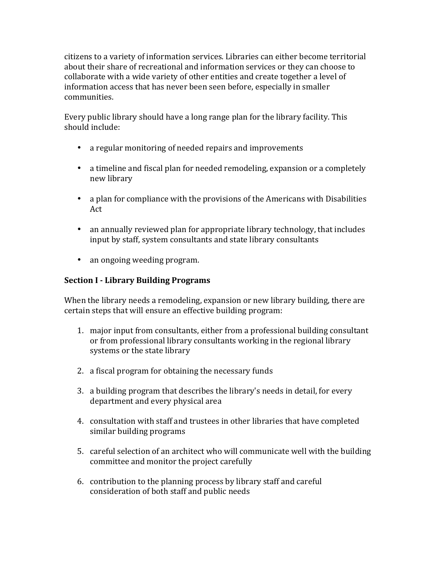citizens to a variety of information services. Libraries can either become territorial about their share of recreational and information services or they can choose to collaborate with a wide variety of other entities and create together a level of information access that has never been seen before, especially in smaller communities.

Every public library should have a long range plan for the library facility. This should include:

- a regular monitoring of needed repairs and improvements
- a timeline and fiscal plan for needed remodeling, expansion or a completely new library
- a plan for compliance with the provisions of the Americans with Disabilities Act
- an annually reviewed plan for appropriate library technology, that includes input by staff, system consultants and state library consultants
- an ongoing weeding program.

### **Section I - Library Building Programs**

When the library needs a remodeling, expansion or new library building, there are certain steps that will ensure an effective building program:

- 1. major input from consultants, either from a professional building consultant or from professional library consultants working in the regional library systems or the state library
- 2. a fiscal program for obtaining the necessary funds
- 3. a building program that describes the library's needs in detail, for every department and every physical area
- 4. consultation with staff and trustees in other libraries that have completed similar building programs
- 5. careful selection of an architect who will communicate well with the building committee and monitor the project carefully
- 6. contribution to the planning process by library staff and careful consideration of both staff and public needs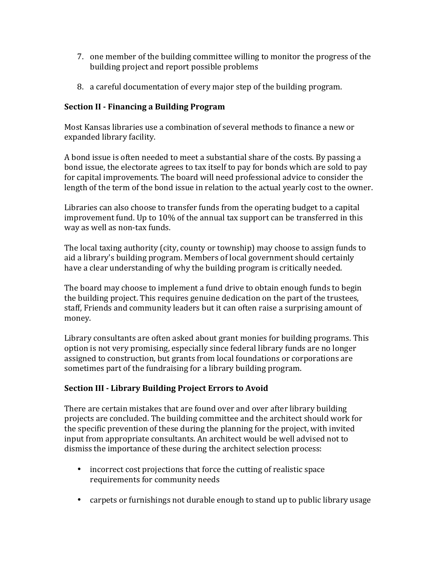- 7. one member of the building committee willing to monitor the progress of the building project and report possible problems
- 8. a careful documentation of every major step of the building program.

## **Section II - Financing a Building Program**

Most Kansas libraries use a combination of several methods to finance a new or expanded library facility.

A bond issue is often needed to meet a substantial share of the costs. By passing a bond issue, the electorate agrees to tax itself to pay for bonds which are sold to pay for capital improvements. The board will need professional advice to consider the length of the term of the bond issue in relation to the actual yearly cost to the owner.

Libraries can also choose to transfer funds from the operating budget to a capital improvement fund. Up to  $10\%$  of the annual tax support can be transferred in this way as well as non-tax funds.

The local taxing authority (city, county or township) may choose to assign funds to aid a library's building program. Members of local government should certainly have a clear understanding of why the building program is critically needed.

The board may choose to implement a fund drive to obtain enough funds to begin the building project. This requires genuine dedication on the part of the trustees, staff, Friends and community leaders but it can often raise a surprising amount of money.

Library consultants are often asked about grant monies for building programs. This option is not very promising, especially since federal library funds are no longer assigned to construction, but grants from local foundations or corporations are sometimes part of the fundraising for a library building program.

## **Section III - Library Building Project Errors to Avoid**

There are certain mistakes that are found over and over after library building projects are concluded. The building committee and the architect should work for the specific prevention of these during the planning for the project, with invited input from appropriate consultants. An architect would be well advised not to dismiss the importance of these during the architect selection process:

- incorrect cost projections that force the cutting of realistic space requirements for community needs
- carpets or furnishings not durable enough to stand up to public library usage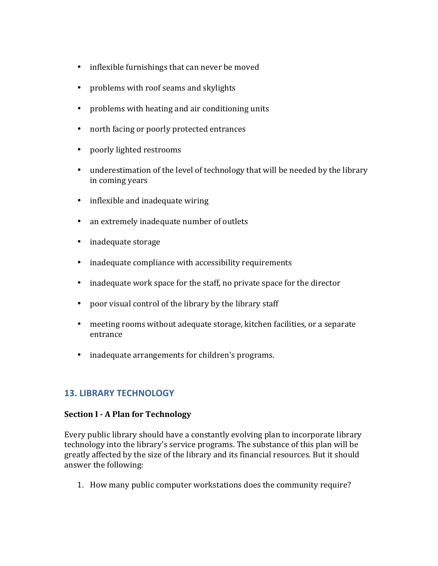- inflexible furnishings that can never be moved
- problems with roof seams and skylights
- problems with heating and air conditioning units
- north facing or poorly protected entrances
- poorly lighted restrooms
- underestimation of the level of technology that will be needed by the library in coming years
- $\cdot$  inflexible and inadequate wiring
- an extremely inadequate number of outlets
- inadequate storage
- inadequate compliance with accessibility requirements
- inadequate work space for the staff, no private space for the director
- poor visual control of the library by the library staff
- meeting rooms without adequate storage, kitchen facilities, or a separate entrance
- inadequate arrangements for children's programs.

## **13. LIBRARY TECHNOLOGY**

#### **Section I - A Plan for Technology**

Every public library should have a constantly evolving plan to incorporate library technology into the library's service programs. The substance of this plan will be greatly affected by the size of the library and its financial resources. But it should answer the following:

1. How many public computer workstations does the community require?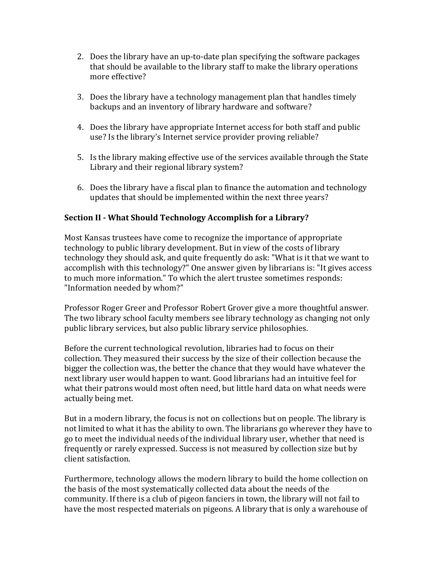- 2. Does the library have an up-to-date plan specifying the software packages that should be available to the library staff to make the library operations more effective?
- 3. Does the library have a technology management plan that handles timely backups and an inventory of library hardware and software?
- 4. Does the library have appropriate Internet access for both staff and public use? Is the library's Internet service provider proving reliable?
- 5. Is the library making effective use of the services available through the State Library and their regional library system?
- 6. Does the library have a fiscal plan to finance the automation and technology updates that should be implemented within the next three years?

## **Section II - What Should Technology Accomplish for a Library?**

Most Kansas trustees have come to recognize the importance of appropriate technology to public library development. But in view of the costs of library technology they should ask, and quite frequently do ask: "What is it that we want to accomplish with this technology?" One answer given by librarians is: "It gives access to much more information." To which the alert trustee sometimes responds: "Information needed by whom?"

Professor Roger Greer and Professor Robert Grover give a more thoughtful answer. The two library school faculty members see library technology as changing not only public library services, but also public library service philosophies.

Before the current technological revolution, libraries had to focus on their collection. They measured their success by the size of their collection because the bigger the collection was, the better the chance that they would have whatever the next library user would happen to want. Good librarians had an intuitive feel for what their patrons would most often need, but little hard data on what needs were actually being met.

But in a modern library, the focus is not on collections but on people. The library is not limited to what it has the ability to own. The librarians go wherever they have to go to meet the individual needs of the individual library user, whether that need is frequently or rarely expressed. Success is not measured by collection size but by client satisfaction.

Furthermore, technology allows the modern library to build the home collection on the basis of the most systematically collected data about the needs of the community. If there is a club of pigeon fanciers in town, the library will not fail to have the most respected materials on pigeons. A library that is only a warehouse of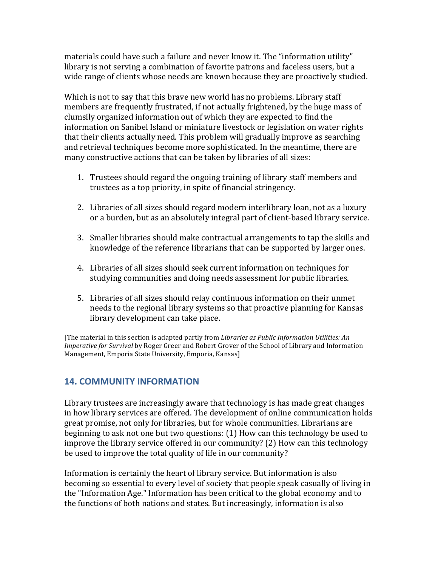materials could have such a failure and never know it. The "information utility" library is not serving a combination of favorite patrons and faceless users, but a wide range of clients whose needs are known because they are proactively studied.

Which is not to say that this brave new world has no problems. Library staff members are frequently frustrated, if not actually frightened, by the huge mass of clumsily organized information out of which they are expected to find the information on Sanibel Island or miniature livestock or legislation on water rights that their clients actually need. This problem will gradually improve as searching and retrieval techniques become more sophisticated. In the meantime, there are many constructive actions that can be taken by libraries of all sizes:

- 1. Trustees should regard the ongoing training of library staff members and trustees as a top priority, in spite of financial stringency.
- 2. Libraries of all sizes should regard modern interlibrary loan, not as a luxury or a burden, but as an absolutely integral part of client-based library service.
- 3. Smaller libraries should make contractual arrangements to tap the skills and knowledge of the reference librarians that can be supported by larger ones.
- 4. Libraries of all sizes should seek current information on techniques for studying communities and doing needs assessment for public libraries.
- 5. Libraries of all sizes should relay continuous information on their unmet needs to the regional library systems so that proactive planning for Kansas library development can take place.

[The material in this section is adapted partly from *Libraries as Public Information Utilities: An Imperative for Survival* by Roger Greer and Robert Grover of the School of Library and Information Management, Emporia State University, Emporia, Kansas]

## **14. COMMUNITY INFORMATION**

Library trustees are increasingly aware that technology is has made great changes in how library services are offered. The development of online communication holds great promise, not only for libraries, but for whole communities. Librarians are beginning to ask not one but two questions:  $(1)$  How can this technology be used to improve the library service offered in our community? (2) How can this technology be used to improve the total quality of life in our community?

Information is certainly the heart of library service. But information is also becoming so essential to every level of society that people speak casually of living in the "Information Age." Information has been critical to the global economy and to the functions of both nations and states. But increasingly, information is also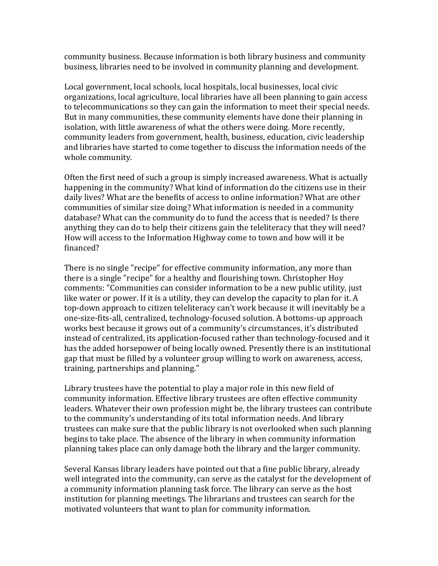community business. Because information is both library business and community business, libraries need to be involved in community planning and development.

Local government, local schools, local hospitals, local businesses, local civic organizations, local agriculture, local libraries have all been planning to gain access to telecommunications so they can gain the information to meet their special needs. But in many communities, these community elements have done their planning in isolation, with little awareness of what the others were doing. More recently, community leaders from government, health, business, education, civic leadership and libraries have started to come together to discuss the information needs of the whole community.

Often the first need of such a group is simply increased awareness. What is actually happening in the community? What kind of information do the citizens use in their daily lives? What are the benefits of access to online information? What are other communities of similar size doing? What information is needed in a community database? What can the community do to fund the access that is needed? Is there anything they can do to help their citizens gain the teleliteracy that they will need? How will access to the Information Highway come to town and how will it be financed?

There is no single "recipe" for effective community information, any more than there is a single "recipe" for a healthy and flourishing town. Christopher Hoy comments: "Communities can consider information to be a new public utility, just like water or power. If it is a utility, they can develop the capacity to plan for it. A top-down approach to citizen teleliteracy can't work because it will inevitably be a one-size-fits-all, centralized, technology-focused solution. A bottoms-up approach works best because it grows out of a community's circumstances, it's distributed instead of centralized, its application-focused rather than technology-focused and it has the added horsepower of being locally owned. Presently there is an institutional gap that must be filled by a volunteer group willing to work on awareness, access, training, partnerships and planning."

Library trustees have the potential to play a major role in this new field of community information. Effective library trustees are often effective community leaders. Whatever their own profession might be, the library trustees can contribute to the community's understanding of its total information needs. And library trustees can make sure that the public library is not overlooked when such planning begins to take place. The absence of the library in when community information planning takes place can only damage both the library and the larger community.

Several Kansas library leaders have pointed out that a fine public library, already well integrated into the community, can serve as the catalyst for the development of a community information planning task force. The library can serve as the host institution for planning meetings. The librarians and trustees can search for the motivated volunteers that want to plan for community information.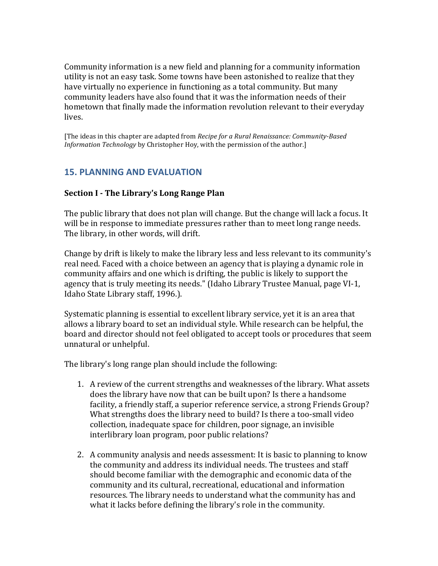Community information is a new field and planning for a community information utility is not an easy task. Some towns have been astonished to realize that they have virtually no experience in functioning as a total community. But many community leaders have also found that it was the information needs of their hometown that finally made the information revolution relevant to their everyday lives.

[The ideas in this chapter are adapted from *Recipe for a Rural Renaissance: Community-Based Information Technology* by Christopher Hoy, with the permission of the author.]

## **15. PLANNING AND EVALUATION**

#### **Section I - The Library's Long Range Plan**

The public library that does not plan will change. But the change will lack a focus. It will be in response to immediate pressures rather than to meet long range needs. The library, in other words, will drift.

Change by drift is likely to make the library less and less relevant to its community's real need. Faced with a choice between an agency that is playing a dynamic role in community affairs and one which is drifting, the public is likely to support the agency that is truly meeting its needs." (Idaho Library Trustee Manual, page VI-1, Idaho State Library staff, 1996.).

Systematic planning is essential to excellent library service, yet it is an area that allows a library board to set an individual style. While research can be helpful, the board and director should not feel obligated to accept tools or procedures that seem unnatural or unhelpful.

The library's long range plan should include the following:

- 1. A review of the current strengths and weaknesses of the library. What assets does the library have now that can be built upon? Is there a handsome facility, a friendly staff, a superior reference service, a strong Friends Group? What strengths does the library need to build? Is there a too-small video collection, inadequate space for children, poor signage, an invisible interlibrary loan program, poor public relations?
- 2. A community analysis and needs assessment: It is basic to planning to know the community and address its individual needs. The trustees and staff should become familiar with the demographic and economic data of the community and its cultural, recreational, educational and information resources. The library needs to understand what the community has and what it lacks before defining the library's role in the community.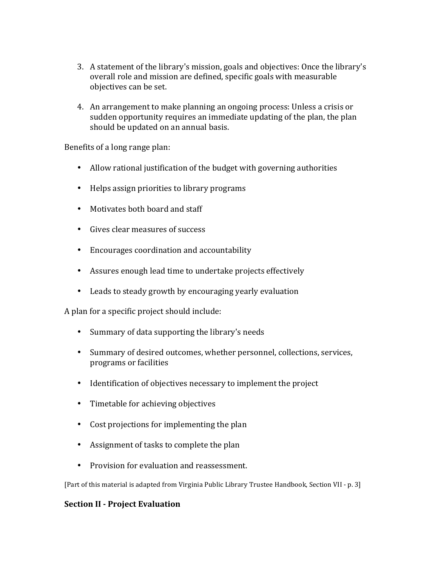- 3. A statement of the library's mission, goals and objectives: Once the library's overall role and mission are defined, specific goals with measurable objectives can be set.
- 4. An arrangement to make planning an ongoing process: Unless a crisis or sudden opportunity requires an immediate updating of the plan, the plan should be updated on an annual basis.

Benefits of a long range plan:

- Allow rational justification of the budget with governing authorities
- Helps assign priorities to library programs
- Motivates both board and staff
- Gives clear measures of success
- Encourages coordination and accountability
- Assures enough lead time to undertake projects effectively
- Leads to steady growth by encouraging yearly evaluation

A plan for a specific project should include:

- Summary of data supporting the library's needs
- Summary of desired outcomes, whether personnel, collections, services, programs or facilities
- Identification of objectives necessary to implement the project
- Timetable for achieving objectives
- Cost projections for implementing the plan
- Assignment of tasks to complete the plan
- Provision for evaluation and reassessment.

[Part of this material is adapted from Virginia Public Library Trustee Handbook, Section VII - p. 3]

#### **Section II - Project Evaluation**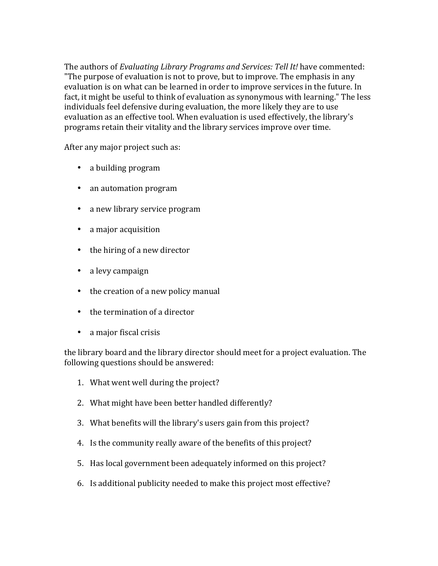The authors of *Evaluating Library Programs and Services: Tell It!* have commented: "The purpose of evaluation is not to prove, but to improve. The emphasis in any evaluation is on what can be learned in order to improve services in the future. In fact, it might be useful to think of evaluation as synonymous with learning." The less individuals feel defensive during evaluation, the more likely they are to use evaluation as an effective tool. When evaluation is used effectively, the library's programs retain their vitality and the library services improve over time.

After any major project such as:

- a building program
- an automation program
- a new library service program
- a major acquisition
- $\bullet$  the hiring of a new director
- a levy campaign
- $\bullet$  the creation of a new policy manual
- $\bullet$  the termination of a director
- a major fiscal crisis

the library board and the library director should meet for a project evaluation. The following questions should be answered:

- 1. What went well during the project?
- 2. What might have been better handled differently?
- 3. What benefits will the library's users gain from this project?
- 4. Is the community really aware of the benefits of this project?
- 5. Has local government been adequately informed on this project?
- 6. Is additional publicity needed to make this project most effective?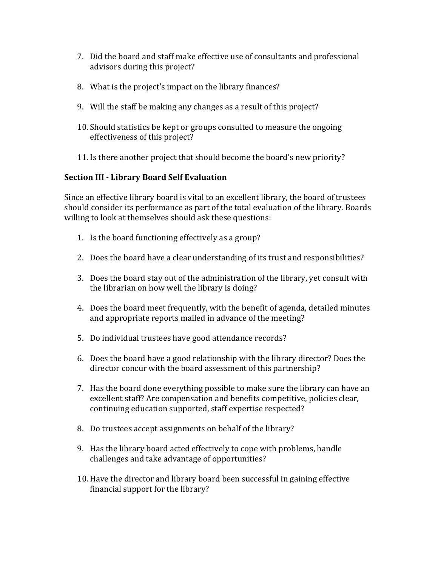- 7. Did the board and staff make effective use of consultants and professional advisors during this project?
- 8. What is the project's impact on the library finances?
- 9. Will the staff be making any changes as a result of this project?
- 10. Should statistics be kept or groups consulted to measure the ongoing effectiveness of this project?
- 11. Is there another project that should become the board's new priority?

### **Section III - Library Board Self Evaluation**

Since an effective library board is vital to an excellent library, the board of trustees should consider its performance as part of the total evaluation of the library. Boards willing to look at themselves should ask these questions:

- 1. Is the board functioning effectively as a group?
- 2. Does the board have a clear understanding of its trust and responsibilities?
- 3. Does the board stay out of the administration of the library, yet consult with the librarian on how well the library is doing?
- 4. Does the board meet frequently, with the benefit of agenda, detailed minutes and appropriate reports mailed in advance of the meeting?
- 5. Do individual trustees have good attendance records?
- 6. Does the board have a good relationship with the library director? Does the director concur with the board assessment of this partnership?
- 7. Has the board done everything possible to make sure the library can have an excellent staff? Are compensation and benefits competitive, policies clear, continuing education supported, staff expertise respected?
- 8. Do trustees accept assignments on behalf of the library?
- 9. Has the library board acted effectively to cope with problems, handle challenges and take advantage of opportunities?
- 10. Have the director and library board been successful in gaining effective financial support for the library?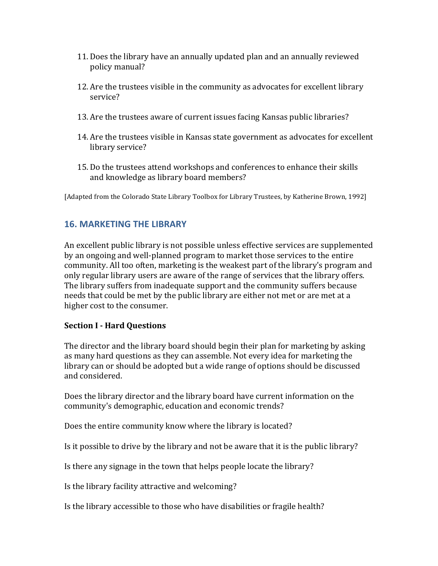- 11. Does the library have an annually updated plan and an annually reviewed policy manual?
- 12. Are the trustees visible in the community as advocates for excellent library service?
- 13. Are the trustees aware of current issues facing Kansas public libraries?
- 14. Are the trustees visible in Kansas state government as advocates for excellent library service?
- 15. Do the trustees attend workshops and conferences to enhance their skills and knowledge as library board members?

[Adapted from the Colorado State Library Toolbox for Library Trustees, by Katherine Brown, 1992]

## **16. MARKETING THE LIBRARY**

An excellent public library is not possible unless effective services are supplemented by an ongoing and well-planned program to market those services to the entire community. All too often, marketing is the weakest part of the library's program and only regular library users are aware of the range of services that the library offers. The library suffers from inadequate support and the community suffers because needs that could be met by the public library are either not met or are met at a higher cost to the consumer.

## **Section I - Hard Questions**

The director and the library board should begin their plan for marketing by asking as many hard questions as they can assemble. Not every idea for marketing the library can or should be adopted but a wide range of options should be discussed and considered.

Does the library director and the library board have current information on the community's demographic, education and economic trends?

Does the entire community know where the library is located?

Is it possible to drive by the library and not be aware that it is the public library?

Is there any signage in the town that helps people locate the library?

Is the library facility attractive and welcoming?

Is the library accessible to those who have disabilities or fragile health?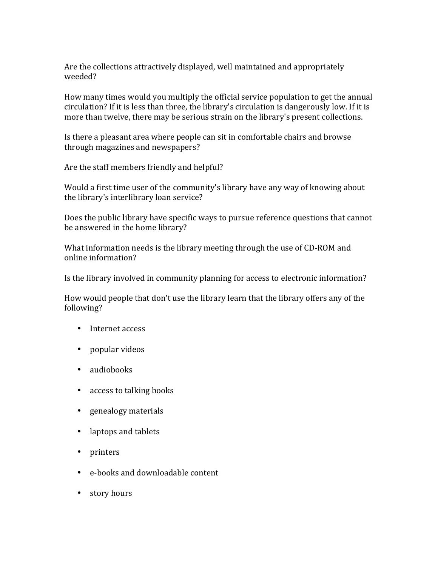Are the collections attractively displayed, well maintained and appropriately weeded?

How many times would you multiply the official service population to get the annual circulation? If it is less than three, the library's circulation is dangerously low. If it is more than twelve, there may be serious strain on the library's present collections.

Is there a pleasant area where people can sit in comfortable chairs and browse through magazines and newspapers?

Are the staff members friendly and helpful?

Would a first time user of the community's library have any way of knowing about the library's interlibrary loan service?

Does the public library have specific ways to pursue reference questions that cannot be answered in the home library?

What information needs is the library meeting through the use of CD-ROM and online information?

Is the library involved in community planning for access to electronic information?

How would people that don't use the library learn that the library offers any of the following?

- Internet access
- popular videos
- audiobooks
- access to talking books
- genealogy materials
- laptops and tablets
- printers
- e-books and downloadable content
- story hours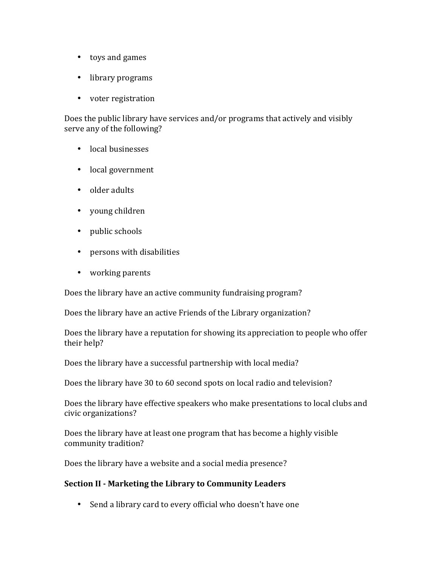- toys and games
- library programs
- voter registration

Does the public library have services and/or programs that actively and visibly serve any of the following?

- local businesses
- local government
- older adults
- young children
- public schools
- persons with disabilities
- working parents

Does the library have an active community fundraising program?

Does the library have an active Friends of the Library organization?

Does the library have a reputation for showing its appreciation to people who offer their help?

Does the library have a successful partnership with local media?

Does the library have 30 to 60 second spots on local radio and television?

Does the library have effective speakers who make presentations to local clubs and civic organizations?

Does the library have at least one program that has become a highly visible community tradition?

Does the library have a website and a social media presence?

#### **Section II - Marketing the Library to Community Leaders**

• Send a library card to every official who doesn't have one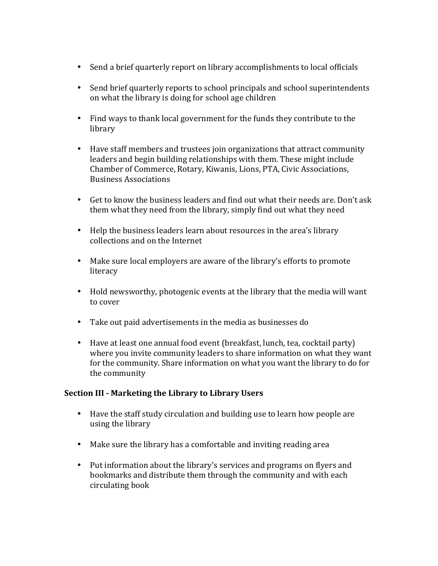- Send a brief quarterly report on library accomplishments to local officials
- Send brief quarterly reports to school principals and school superintendents on what the library is doing for school age children
- Find ways to thank local government for the funds they contribute to the library
- Have staff members and trustees join organizations that attract community leaders and begin building relationships with them. These might include Chamber of Commerce, Rotary, Kiwanis, Lions, PTA, Civic Associations, Business Associations
- Get to know the business leaders and find out what their needs are. Don't ask them what they need from the library, simply find out what they need
- Help the business leaders learn about resources in the area's library collections and on the Internet
- Make sure local employers are aware of the library's efforts to promote literacy
- Hold newsworthy, photogenic events at the library that the media will want to cover
- Take out paid advertisements in the media as businesses do
- Have at least one annual food event (breakfast, lunch, tea, cocktail party) where you invite community leaders to share information on what they want for the community. Share information on what you want the library to do for the community

#### **Section III - Marketing the Library to Library Users**

- Have the staff study circulation and building use to learn how people are using the library
- Make sure the library has a comfortable and inviting reading area
- Put information about the library's services and programs on flyers and bookmarks and distribute them through the community and with each circulating book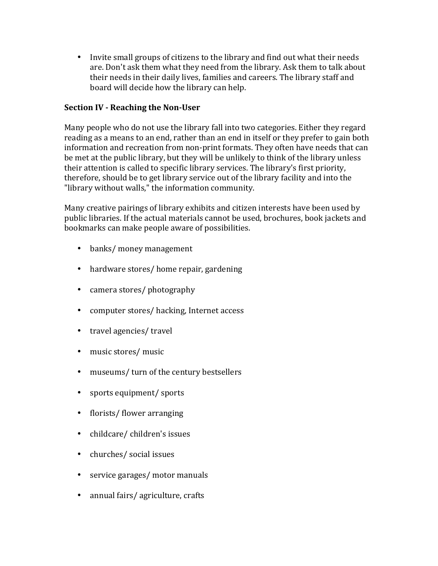• Invite small groups of citizens to the library and find out what their needs are. Don't ask them what they need from the library. Ask them to talk about their needs in their daily lives, families and careers. The library staff and board will decide how the library can help.

### **Section IV - Reaching the Non-User**

Many people who do not use the library fall into two categories. Either they regard reading as a means to an end, rather than an end in itself or they prefer to gain both information and recreation from non-print formats. They often have needs that can be met at the public library, but they will be unlikely to think of the library unless their attention is called to specific library services. The library's first priority, therefore, should be to get library service out of the library facility and into the "library without walls," the information community.

Many creative pairings of library exhibits and citizen interests have been used by public libraries. If the actual materials cannot be used, brochures, book jackets and bookmarks can make people aware of possibilities.

- banks/ money management
- hardware stores/ home repair, gardening
- camera stores/ photography
- computer stores/ hacking, Internet access
- travel agencies/ travel
- music stores/ music
- museums/ turn of the century bestsellers
- sports equipment/ sports
- florists/ flower arranging
- childcare/children's issues
- churches/ social issues
- service garages/ motor manuals
- annual fairs/ agriculture, crafts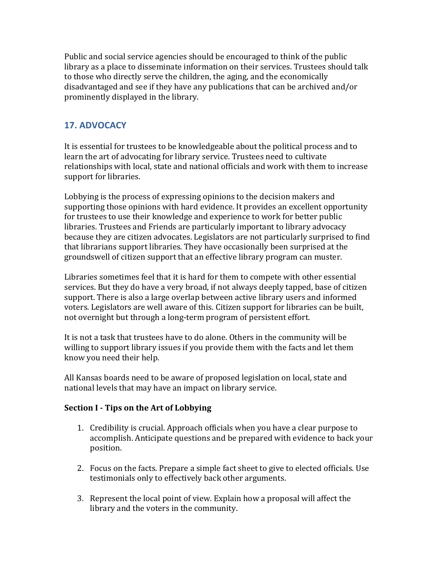Public and social service agencies should be encouraged to think of the public library as a place to disseminate information on their services. Trustees should talk to those who directly serve the children, the aging, and the economically disadvantaged and see if they have any publications that can be archived and/or prominently displayed in the library.

# **17. ADVOCACY**

It is essential for trustees to be knowledgeable about the political process and to learn the art of advocating for library service. Trustees need to cultivate relationships with local, state and national officials and work with them to increase support for libraries.

Lobbying is the process of expressing opinions to the decision makers and supporting those opinions with hard evidence. It provides an excellent opportunity for trustees to use their knowledge and experience to work for better public libraries. Trustees and Friends are particularly important to library advocacy because they are citizen advocates. Legislators are not particularly surprised to find that librarians support libraries. They have occasionally been surprised at the groundswell of citizen support that an effective library program can muster.

Libraries sometimes feel that it is hard for them to compete with other essential services. But they do have a very broad, if not always deeply tapped, base of citizen support. There is also a large overlap between active library users and informed voters. Legislators are well aware of this. Citizen support for libraries can be built, not overnight but through a long-term program of persistent effort.

It is not a task that trustees have to do alone. Others in the community will be willing to support library issues if you provide them with the facts and let them know you need their help.

All Kansas boards need to be aware of proposed legislation on local, state and national levels that may have an impact on library service.

## **Section I - Tips on the Art of Lobbying**

- 1. Credibility is crucial. Approach officials when you have a clear purpose to accomplish. Anticipate questions and be prepared with evidence to back your position.
- 2. Focus on the facts. Prepare a simple fact sheet to give to elected officials. Use testimonials only to effectively back other arguments.
- 3. Represent the local point of view. Explain how a proposal will affect the library and the voters in the community.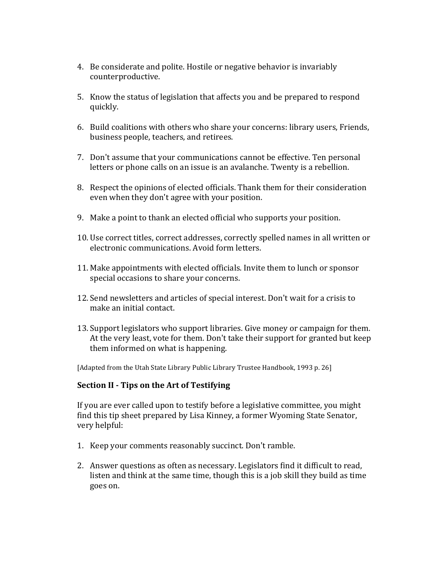- 4. Be considerate and polite. Hostile or negative behavior is invariably counterproductive.
- 5. Know the status of legislation that affects you and be prepared to respond quickly.
- 6. Build coalitions with others who share your concerns: library users, Friends, business people, teachers, and retirees.
- 7. Don't assume that your communications cannot be effective. Ten personal letters or phone calls on an issue is an avalanche. Twenty is a rebellion.
- 8. Respect the opinions of elected officials. Thank them for their consideration even when they don't agree with your position.
- 9. Make a point to thank an elected official who supports your position.
- 10. Use correct titles, correct addresses, correctly spelled names in all written or electronic communications. Avoid form letters.
- 11. Make appointments with elected officials. Invite them to lunch or sponsor special occasions to share your concerns.
- 12. Send newsletters and articles of special interest. Don't wait for a crisis to make an initial contact.
- 13. Support legislators who support libraries. Give money or campaign for them. At the very least, vote for them. Don't take their support for granted but keep them informed on what is happening.

[Adapted from the Utah State Library Public Library Trustee Handbook, 1993 p. 26]

#### **Section II - Tips on the Art of Testifying**

If you are ever called upon to testify before a legislative committee, you might find this tip sheet prepared by Lisa Kinney, a former Wyoming State Senator, very helpful:

- 1. Keep your comments reasonably succinct. Don't ramble.
- 2. Answer questions as often as necessary. Legislators find it difficult to read, listen and think at the same time, though this is a job skill they build as time goes on.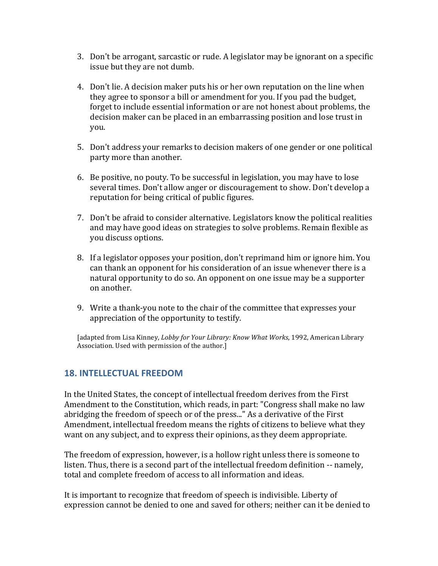- 3. Don't be arrogant, sarcastic or rude. A legislator may be ignorant on a specific issue but they are not dumb.
- 4. Don't lie. A decision maker puts his or her own reputation on the line when they agree to sponsor a bill or amendment for you. If you pad the budget, forget to include essential information or are not honest about problems, the decision maker can be placed in an embarrassing position and lose trust in you.
- 5. Don't address your remarks to decision makers of one gender or one political party more than another.
- 6. Be positive, no pouty. To be successful in legislation, you may have to lose several times. Don't allow anger or discouragement to show. Don't develop a reputation for being critical of public figures.
- 7. Don't be afraid to consider alternative. Legislators know the political realities and may have good ideas on strategies to solve problems. Remain flexible as you discuss options.
- 8. If a legislator opposes your position, don't reprimand him or ignore him. You can thank an opponent for his consideration of an issue whenever there is a natural opportunity to do so. An opponent on one issue may be a supporter on another.
- 9. Write a thank-you note to the chair of the committee that expresses your appreciation of the opportunity to testify.

[adapted from Lisa Kinney, *Lobby for Your Library: Know What Works*, 1992, American Library Association. Used with permission of the author.]

## **18. INTELLECTUAL FREEDOM**

In the United States, the concept of intellectual freedom derives from the First Amendment to the Constitution, which reads, in part: "Congress shall make no law abridging the freedom of speech or of the press..." As a derivative of the First Amendment, intellectual freedom means the rights of citizens to believe what they want on any subject, and to express their opinions, as they deem appropriate.

The freedom of expression, however, is a hollow right unless there is someone to listen. Thus, there is a second part of the intellectual freedom definition -- namely, total and complete freedom of access to all information and ideas.

It is important to recognize that freedom of speech is indivisible. Liberty of expression cannot be denied to one and saved for others; neither can it be denied to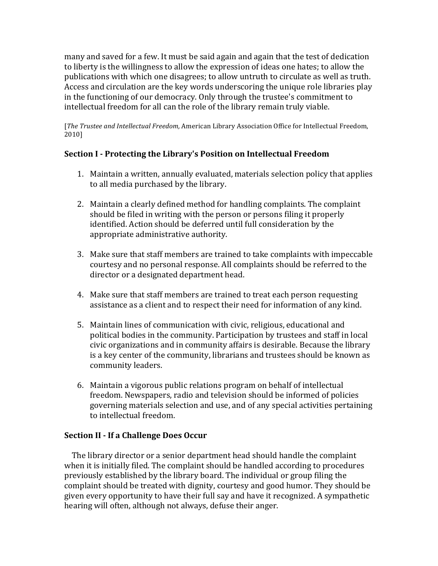many and saved for a few. It must be said again and again that the test of dedication to liberty is the willingness to allow the expression of ideas one hates; to allow the publications with which one disagrees; to allow untruth to circulate as well as truth. Access and circulation are the key words underscoring the unique role libraries play in the functioning of our democracy. Only through the trustee's commitment to intellectual freedom for all can the role of the library remain truly viable.

[*The Trustee and Intellectual Freedom, American Library Association Office for Intellectual Freedom,* 2010]

### **Section I - Protecting the Library's Position on Intellectual Freedom**

- 1. Maintain a written, annually evaluated, materials selection policy that applies to all media purchased by the library.
- 2. Maintain a clearly defined method for handling complaints. The complaint should be filed in writing with the person or persons filing it properly identified. Action should be deferred until full consideration by the appropriate administrative authority.
- 3. Make sure that staff members are trained to take complaints with impeccable courtesy and no personal response. All complaints should be referred to the director or a designated department head.
- 4. Make sure that staff members are trained to treat each person requesting assistance as a client and to respect their need for information of any kind.
- 5. Maintain lines of communication with civic, religious, educational and political bodies in the community. Participation by trustees and staff in local civic organizations and in community affairs is desirable. Because the library is a key center of the community, librarians and trustees should be known as community leaders.
- 6. Maintain a vigorous public relations program on behalf of intellectual freedom. Newspapers, radio and television should be informed of policies governing materials selection and use, and of any special activities pertaining to intellectual freedom.

#### **Section II - If a Challenge Does Occur**

The library director or a senior department head should handle the complaint when it is initially filed. The complaint should be handled according to procedures previously established by the library board. The individual or group filing the complaint should be treated with dignity, courtesy and good humor. They should be given every opportunity to have their full say and have it recognized. A sympathetic hearing will often, although not always, defuse their anger.